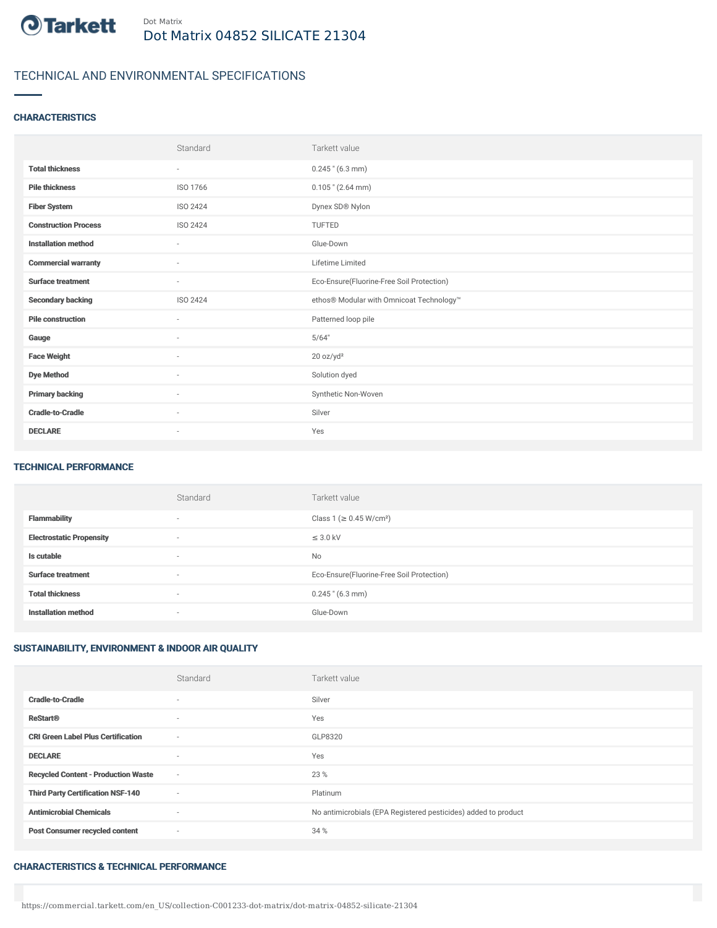

# TECHNICAL AND ENVIRONMENTAL SPECIFICATIONS

## **CHARACTERISTICS**

|                             | Standard                 | Tarkett value                             |
|-----------------------------|--------------------------|-------------------------------------------|
| <b>Total thickness</b>      | $\overline{\phantom{a}}$ | $0.245$ " (6.3 mm)                        |
| <b>Pile thickness</b>       | ISO 1766                 | $0.105$ " (2.64 mm)                       |
| <b>Fiber System</b>         | ISO 2424                 | Dynex SD® Nylon                           |
| <b>Construction Process</b> | ISO 2424                 | <b>TUFTED</b>                             |
| <b>Installation method</b>  | $\sim$                   | Glue-Down                                 |
| <b>Commercial warranty</b>  | $\sim$                   | Lifetime Limited                          |
| <b>Surface treatment</b>    | $\sim$                   | Eco-Ensure(Fluorine-Free Soil Protection) |
| <b>Secondary backing</b>    | ISO 2424                 | ethos® Modular with Omnicoat Technology™  |
| <b>Pile construction</b>    | $\sim$                   | Patterned loop pile                       |
| Gauge                       | $\sim$                   | 5/64"                                     |
| <b>Face Weight</b>          | ٠                        | 20 oz/yd <sup>2</sup>                     |
| <b>Dye Method</b>           | $\overline{\phantom{a}}$ | Solution dyed                             |
| <b>Primary backing</b>      | $\sim$                   | Synthetic Non-Woven                       |
| <b>Cradle-to-Cradle</b>     | ٠                        | Silver                                    |
| <b>DECLARE</b>              |                          | Yes                                       |

#### TECHNICAL PERFORMANCE

|                                 | Standard                 | Tarkett value                             |
|---------------------------------|--------------------------|-------------------------------------------|
| <b>Flammability</b>             | $\overline{\phantom{a}}$ | Class 1 (≥ 0.45 W/cm <sup>2</sup> )       |
| <b>Electrostatic Propensity</b> | $\sim$                   | $\leq$ 3.0 kV                             |
| Is cutable                      | $\sim$                   | <b>No</b>                                 |
| <b>Surface treatment</b>        | $\sim$                   | Eco-Ensure(Fluorine-Free Soil Protection) |
| <b>Total thickness</b>          | $\overline{\phantom{a}}$ | $0.245$ " (6.3 mm)                        |
| <b>Installation method</b>      | $\sim$                   | Glue-Down                                 |

## SUSTAINABILITY, ENVIRONMENT & INDOOR AIR QUALITY

|                                            | Standard | Tarkett value                                                  |
|--------------------------------------------|----------|----------------------------------------------------------------|
| <b>Cradle-to-Cradle</b>                    | $\sim$   | Silver                                                         |
| <b>ReStart®</b>                            | $\sim$   | Yes                                                            |
| <b>CRI Green Label Plus Certification</b>  | $\sim$   | GLP8320                                                        |
| <b>DECLARE</b>                             | $\sim$   | Yes                                                            |
| <b>Recycled Content - Production Waste</b> | $\sim$   | 23 %                                                           |
| <b>Third Party Certification NSF-140</b>   | $\sim$   | Platinum                                                       |
| <b>Antimicrobial Chemicals</b>             | $\sim$   | No antimicrobials (EPA Registered pesticides) added to product |
| <b>Post Consumer recycled content</b>      | $\sim$   | 34 %                                                           |

#### CHARACTERISTICS & TECHNICAL PERFORMANCE